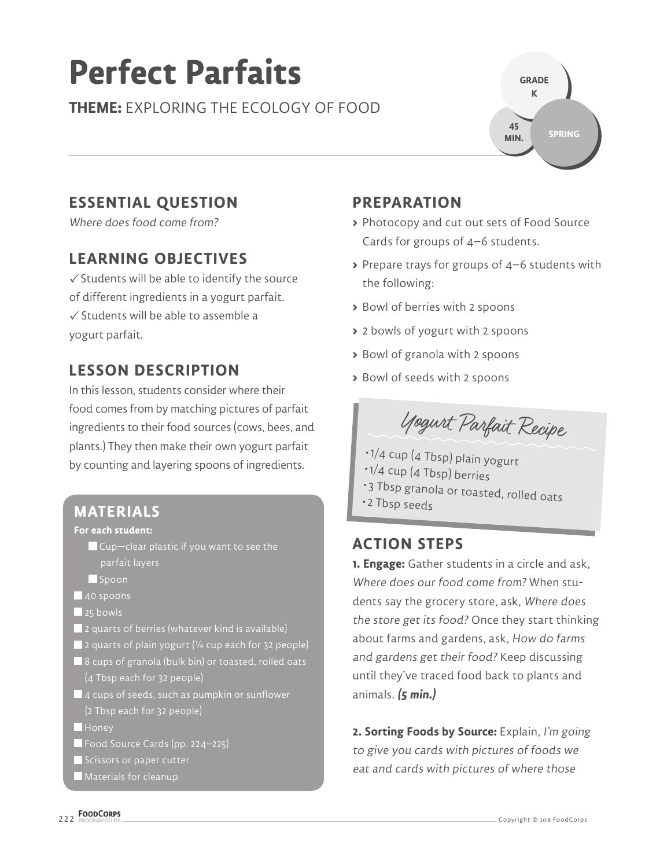# **Perfect Parfaits**

**THEME:** EXPLORING THE ECOLOGY OF FOOD



# **ESSENTIAL QUESTION**

Where does food come from?

# **LEARNING OBJECTIVES**

 $\checkmark$  Students will be able to identify the source of different ingredients in a yogurt parfait.  $\sqrt{\frac{1}{2}}$  Students will be able to assemble a yogurt parfait.

# **LESSON DESCRIPTION**

In this lesson, students consider where their food comes from by matching pictures of parfait ingredients to their food sources (cows, bees, and plants.) They then make their own yogurt parfait by counting and layering spoons of ingredients.

### **MATERIALS**

#### **For each student:**

Cup—clear plastic if you want to see the parfait layers

- Spoon
- 40 spoons
- 25 bowls
- $\blacksquare$  2 quarts of berries (whatever kind is available)
- $\blacksquare$  2 quarts of plain yogurt ( $\frac{1}{4}$  cup each for 32 people)
- 8 cups of granola (bulk bin) or toasted, rolled oats (4 Tbsp each for 32 people)
- $\blacksquare$  4 cups of seeds, such as pumpkin or sunflower (2 Tbsp each for 32 people)
- **Honey**
- Food Source Cards (pp. 224–225)
- Scissors or paper cutter
- Materials for cleanup

# **PREPARATION**

- **>** Photocopy and cut out sets of Food Source Cards for groups of 4–6 students.
- **>** Prepare trays for groups of 4–6 students with the following:
- **>** Bowl of berries with 2 spoons
- **>** 2 bowls of yogurt with 2 spoons
- **>** Bowl of granola with 2 spoons
- **>** Bowl of seeds with 2 spoons



- 1/4 cup (4 Tbsp) plain yogurt
- 1/4 cup (4 Tbsp) berries
- 3 Tbsp granola or toasted, rolled oats
- 2 Tbsp seeds

### **ACTION STEPS**

**1. Engage:** Gather students in a circle and ask, Where does our food come from? When students say the grocery store, ask, Where does the store get its food? Once they start thinking about farms and gardens, ask, How do farms and gardens get their food? Keep discussing until they've traced food back to plants and animals. **(5 min.)**

**2. Sorting Foods by Source:** Explain, I'm going to give you cards with pictures of foods we eat and cards with pictures of where those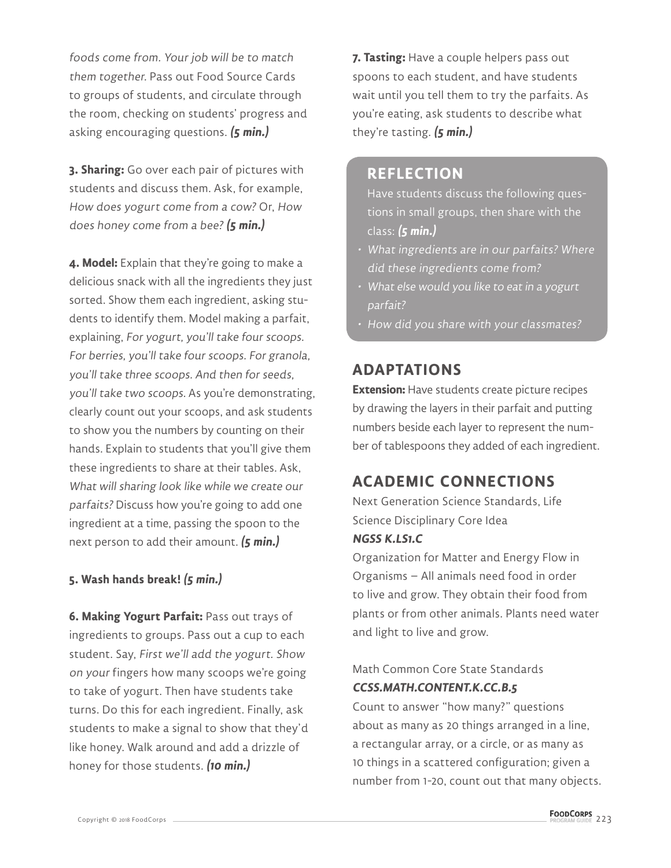foods come from. Your job will be to match them together. Pass out Food Source Cards to groups of students, and circulate through the room, checking on students' progress and asking encouraging questions. **(5 min.)**

**3. Sharing:** Go over each pair of pictures with students and discuss them. Ask, for example, How does yogurt come from a cow? Or, How does honey come from a bee? **(5 min.)**

**4. Model:** Explain that they're going to make a delicious snack with all the ingredients they just sorted. Show them each ingredient, asking students to identify them. Model making a parfait, explaining, For yogurt, you'll take four scoops. For berries, you'll take four scoops. For granola, you'll take three scoops. And then for seeds, you'll take two scoops. As you're demonstrating, clearly count out your scoops, and ask students to show you the numbers by counting on their hands. Explain to students that you'll give them these ingredients to share at their tables. Ask, What will sharing look like while we create our parfaits? Discuss how you're going to add one ingredient at a time, passing the spoon to the next person to add their amount. **(5 min.)**

#### **5. Wash hands break! (5 min.)**

**6. Making Yogurt Parfait:** Pass out trays of ingredients to groups. Pass out a cup to each student. Say, First we'll add the yogurt. Show on your fingers how many scoops we're going to take of yogurt. Then have students take turns. Do this for each ingredient. Finally, ask students to make a signal to show that they'd like honey. Walk around and add a drizzle of honey for those students. **(10 min.)**

**7. Tasting:** Have a couple helpers pass out spoons to each student, and have students wait until you tell them to try the parfaits. As you're eating, ask students to describe what they're tasting. **(5 min.)**

#### **REFLECTION**

Have students discuss the following questions in small groups, then share with the class: **(5 min.)**

- What ingredients are in our parfaits? Where did these ingredients come from?
- What else would you like to eat in a yogurt parfait?
- How did you share with your classmates?

## **ADAPTATIONS**

**Extension:** Have students create picture recipes by drawing the layers in their parfait and putting numbers beside each layer to represent the number of tablespoons they added of each ingredient.

# **ACADEMIC CONNECTIONS**

Next Generation Science Standards, Life Science Disciplinary Core Idea

#### **NGSS K.LS1.C**

Organization for Matter and Energy Flow in Organisms – All animals need food in order to live and grow. They obtain their food from plants or from other animals. Plants need water and light to live and grow.

#### Math Common Core State Standards **CCSS.MATH.CONTENT.K.CC.B.5**

Count to answer "how many?" questions about as many as 20 things arranged in a line, a rectangular array, or a circle, or as many as 10 things in a scattered configuration; given a number from 1-20, count out that many objects.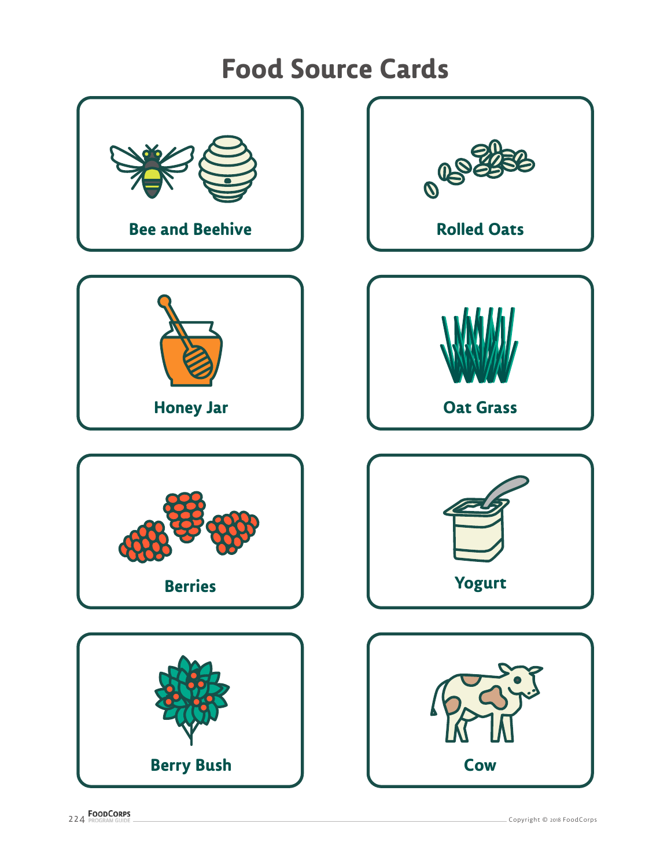# **Food Source Cards**